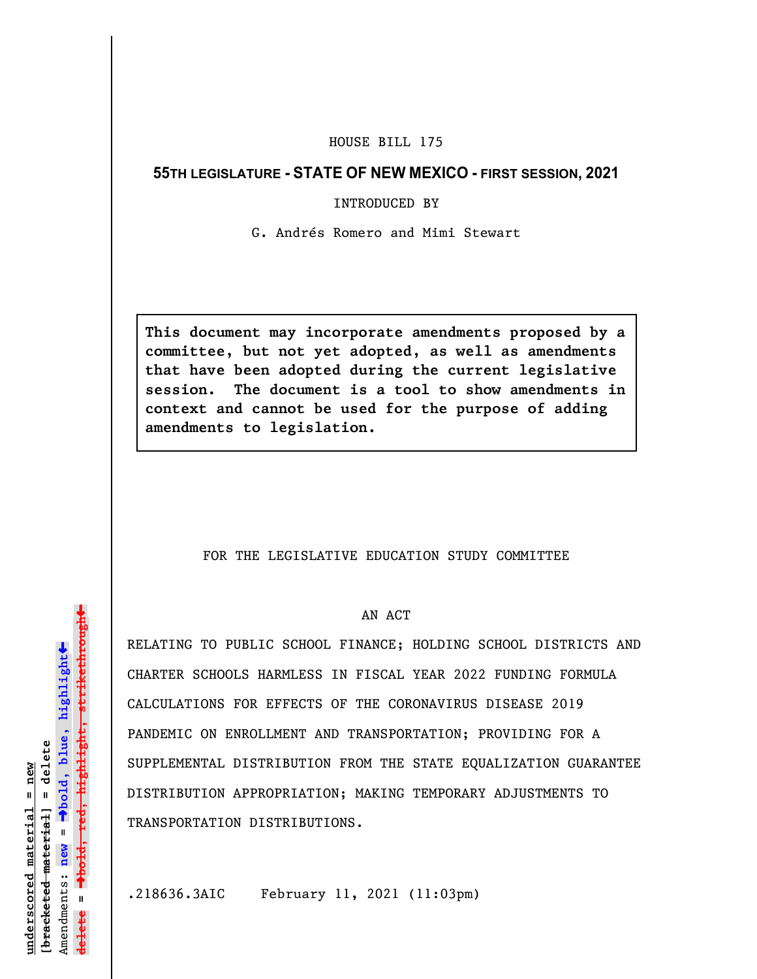## HOUSE BILL 175

## **55TH LEGISLATURE - STATE OF NEW MEXICO - FIRST SESSION, 2021**

INTRODUCED BY

G. Andrés Romero and Mimi Stewart

**This document may incorporate amendments proposed by a committee, but not yet adopted, as well as amendments that have been adopted during the current legislative session. The document is a tool to show amendments in context and cannot be used for the purpose of adding amendments to legislation.**

## FOR THE LEGISLATIVE EDUCATION STUDY COMMITTEE

## AN ACT

RELATING TO PUBLIC SCHOOL FINANCE; HOLDING SCHOOL DISTRICTS AND CHARTER SCHOOLS HARMLESS IN FISCAL YEAR 2022 FUNDING FORMULA CALCULATIONS FOR EFFECTS OF THE CORONAVIRUS DISEASE 2019 PANDEMIC ON ENROLLMENT AND TRANSPORTATION; PROVIDING FOR A SUPPLEMENTAL DISTRIBUTION FROM THE STATE EQUALIZATION GUARANTEE DISTRIBUTION APPROPRIATION; MAKING TEMPORARY ADJUSTMENTS TO TRANSPORTATION DISTRIBUTIONS.

.218636.3AIC February 11, 2021 (11:03pm)

»º**bold, red, highlight, strikethrough** <del>highlight, strikethrou</del>  $\ddot{\bullet}$ º**bold, blue, highlight**  $b$ racketed material] = delete **[bracketed material] = delete** inderscored material = new **underscored material = new** Amendments: **new** =  $\mathbf{u}$ **delete =**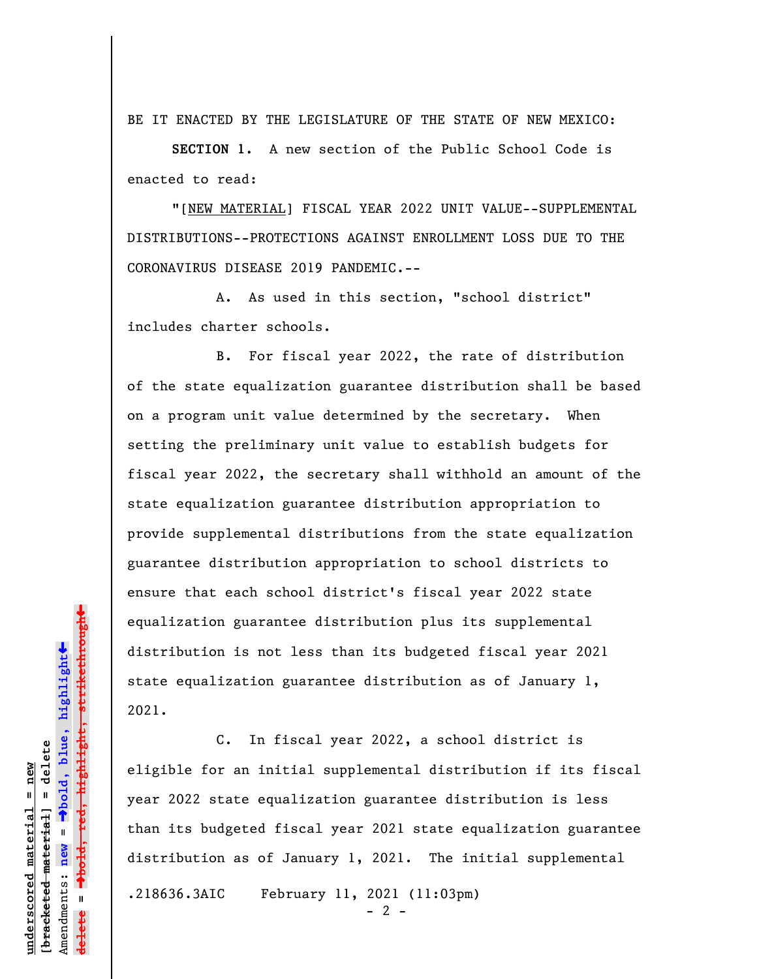BE IT ENACTED BY THE LEGISLATURE OF THE STATE OF NEW MEXICO:

**SECTION 1.** A new section of the Public School Code is enacted to read:

"[NEW MATERIAL] FISCAL YEAR 2022 UNIT VALUE--SUPPLEMENTAL DISTRIBUTIONS--PROTECTIONS AGAINST ENROLLMENT LOSS DUE TO THE CORONAVIRUS DISEASE 2019 PANDEMIC.--

A. As used in this section, "school district" includes charter schools.

B. For fiscal year 2022, the rate of distribution of the state equalization guarantee distribution shall be based on a program unit value determined by the secretary. When setting the preliminary unit value to establish budgets for fiscal year 2022, the secretary shall withhold an amount of the state equalization guarantee distribution appropriation to provide supplemental distributions from the state equalization guarantee distribution appropriation to school districts to ensure that each school district's fiscal year 2022 state equalization guarantee distribution plus its supplemental distribution is not less than its budgeted fiscal year 2021 state equalization guarantee distribution as of January 1, 2021.

C. In fiscal year 2022, a school district is eligible for an initial supplemental distribution if its fiscal year 2022 state equalization guarantee distribution is less than its budgeted fiscal year 2021 state equalization guarantee distribution as of January 1, 2021. The initial supplemental .218636.3AIC February 11, 2021 (11:03pm)

 $- 2 -$ 

 $\ddag$ º**bold, red, highlight, strikethrough**  $\ddot{\bullet}$ º**bold, blue, highlight** bracketed material] = delete **[bracketed material] = delete** inderscored material = new **underscored material = new** Amendments: **new** =  $\mathbf{I}$ Amendments: new **delete =**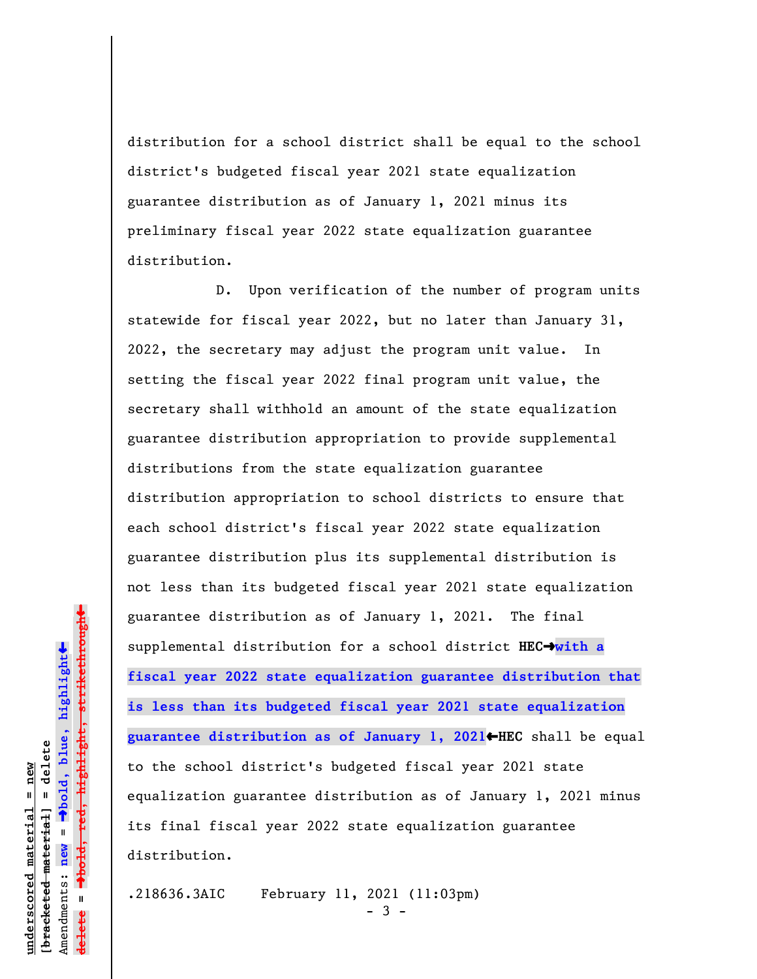distribution for a school district shall be equal to the school district's budgeted fiscal year 2021 state equalization guarantee distribution as of January 1, 2021 minus its preliminary fiscal year 2022 state equalization guarantee distribution.

D. Upon verification of the number of program units statewide for fiscal year 2022, but no later than January 31, 2022, the secretary may adjust the program unit value. In setting the fiscal year 2022 final program unit value, the secretary shall withhold an amount of the state equalization guarantee distribution appropriation to provide supplemental distributions from the state equalization guarantee distribution appropriation to school districts to ensure that each school district's fiscal year 2022 state equalization guarantee distribution plus its supplemental distribution is not less than its budgeted fiscal year 2021 state equalization guarantee distribution as of January 1, 2021. The final supplemental distribution for a school district **HEC**º**with a fiscal year 2022 state equalization guarantee distribution that is less than its budgeted fiscal year 2021 state equalization guarantee distribution as of January 1, 2021**»**HEC** shall be equal to the school district's budgeted fiscal year 2021 state equalization guarantee distribution as of January 1, 2021 minus its final fiscal year 2022 state equalization guarantee distribution.

.218636.3AIC February 11, 2021 (11:03pm) - 3 -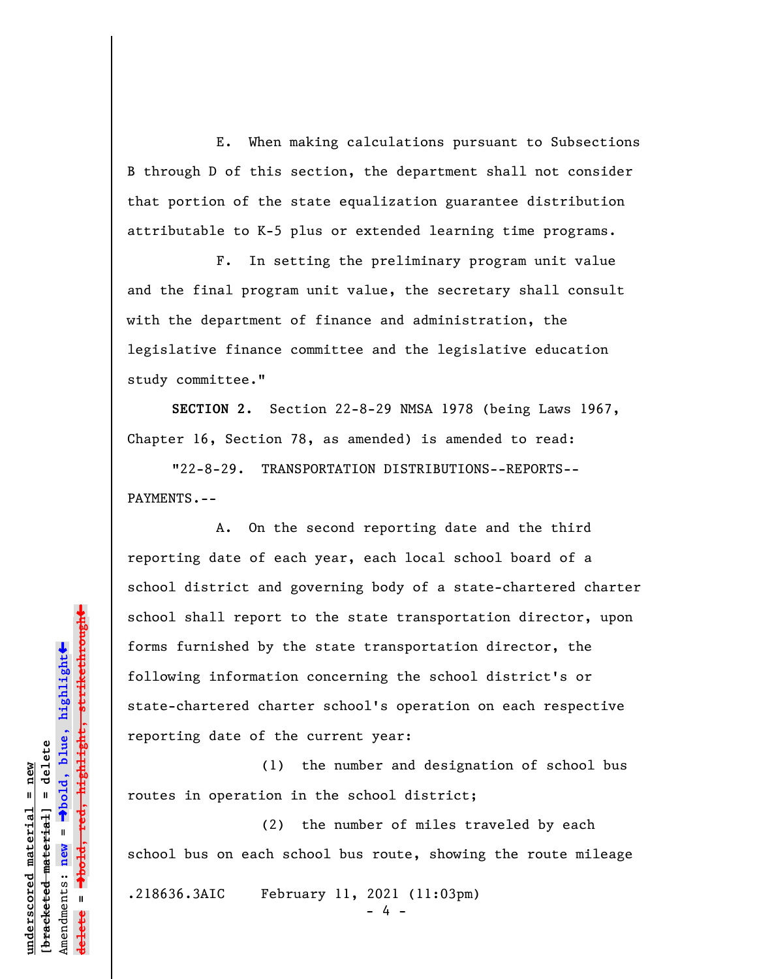E. When making calculations pursuant to Subsections B through D of this section, the department shall not consider that portion of the state equalization guarantee distribution attributable to K-5 plus or extended learning time programs.

F. In setting the preliminary program unit value and the final program unit value, the secretary shall consult with the department of finance and administration, the legislative finance committee and the legislative education study committee."

**SECTION 2.** Section 22-8-29 NMSA 1978 (being Laws 1967, Chapter 16, Section 78, as amended) is amended to read:

"22-8-29. TRANSPORTATION DISTRIBUTIONS--REPORTS-- PAYMENTS.--

A. On the second reporting date and the third reporting date of each year, each local school board of a school district and governing body of a state-chartered charter school shall report to the state transportation director, upon forms furnished by the state transportation director, the following information concerning the school district's or state-chartered charter school's operation on each respective reporting date of the current year:

(1) the number and designation of school bus routes in operation in the school district;

(2) the number of miles traveled by each school bus on each school bus route, showing the route mileage

.218636.3AIC February 11, 2021 (11:03pm)

- 4 -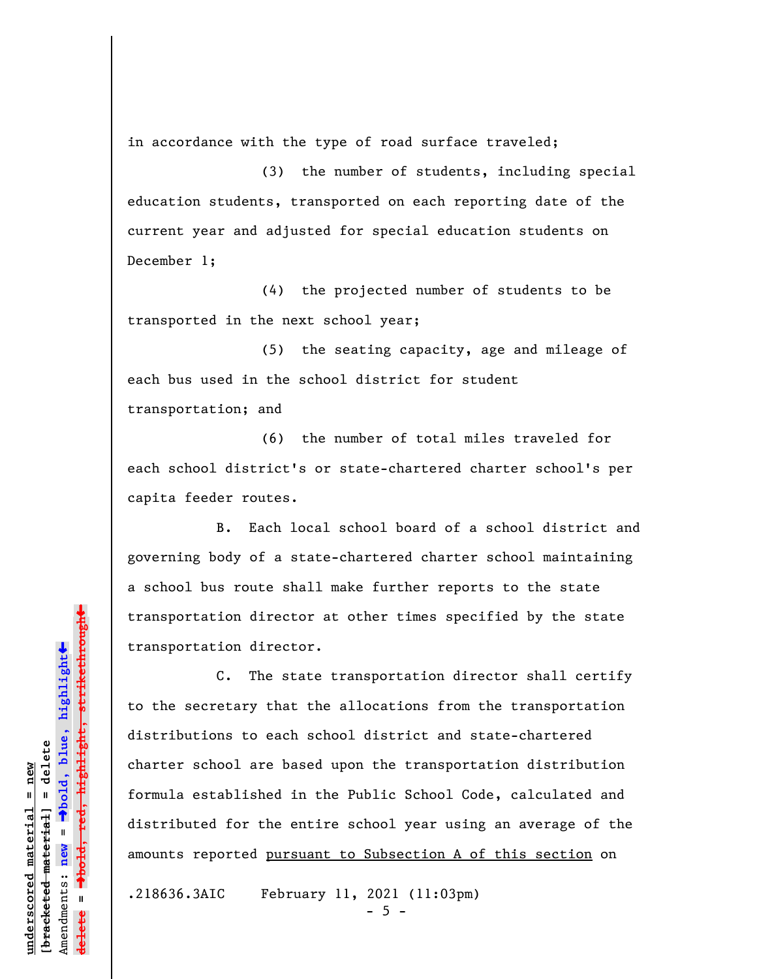in accordance with the type of road surface traveled;

(3) the number of students, including special education students, transported on each reporting date of the current year and adjusted for special education students on December 1;

(4) the projected number of students to be transported in the next school year;

(5) the seating capacity, age and mileage of each bus used in the school district for student transportation; and

(6) the number of total miles traveled for each school district's or state-chartered charter school's per capita feeder routes.

B. Each local school board of a school district and governing body of a state-chartered charter school maintaining a school bus route shall make further reports to the state transportation director at other times specified by the state transportation director.

C. The state transportation director shall certify to the secretary that the allocations from the transportation distributions to each school district and state-chartered charter school are based upon the transportation distribution formula established in the Public School Code, calculated and distributed for the entire school year using an average of the amounts reported pursuant to Subsection A of this section on

.218636.3AIC February 11, 2021 (11:03pm)  $-5 -$ 

 $\ddot{\bullet}$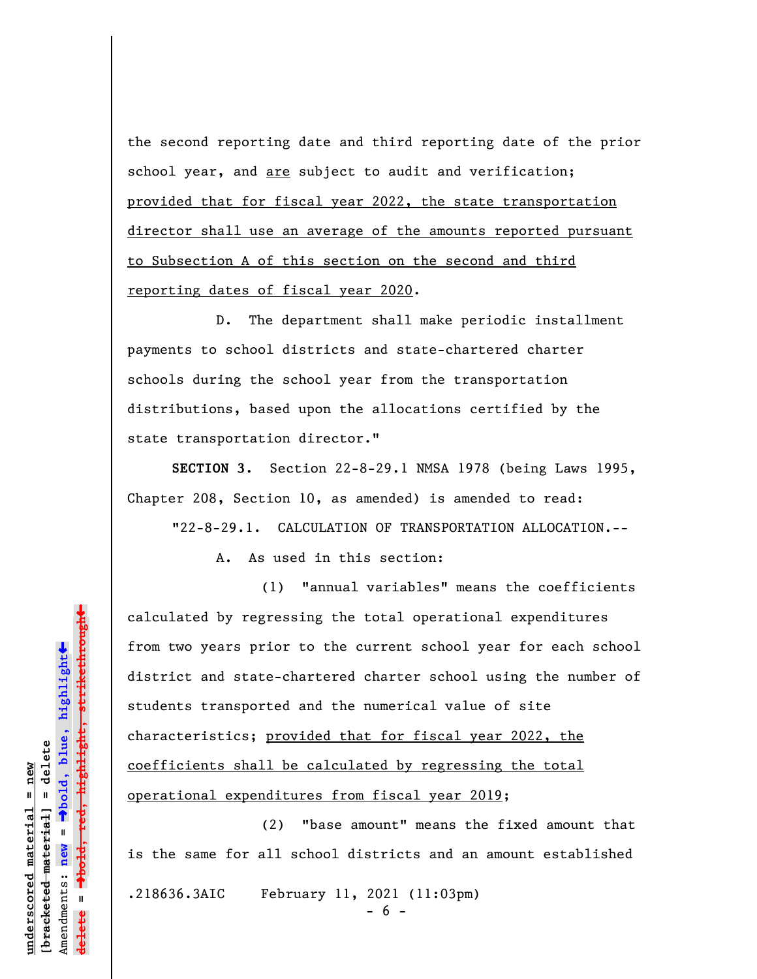the second reporting date and third reporting date of the prior school year, and are subject to audit and verification; provided that for fiscal year 2022, the state transportation director shall use an average of the amounts reported pursuant to Subsection A of this section on the second and third reporting dates of fiscal year 2020.

D. The department shall make periodic installment payments to school districts and state-chartered charter schools during the school year from the transportation distributions, based upon the allocations certified by the state transportation director."

**SECTION 3.** Section 22-8-29.1 NMSA 1978 (being Laws 1995, Chapter 208, Section 10, as amended) is amended to read:

"22-8-29.1. CALCULATION OF TRANSPORTATION ALLOCATION.--

A. As used in this section:

(1) "annual variables" means the coefficients calculated by regressing the total operational expenditures from two years prior to the current school year for each school district and state-chartered charter school using the number of students transported and the numerical value of site characteristics; provided that for fiscal year 2022, the coefficients shall be calculated by regressing the total operational expenditures from fiscal year 2019;

(2) "base amount" means the fixed amount that is the same for all school districts and an amount established .218636.3AIC February 11, 2021 (11:03pm) - 6 -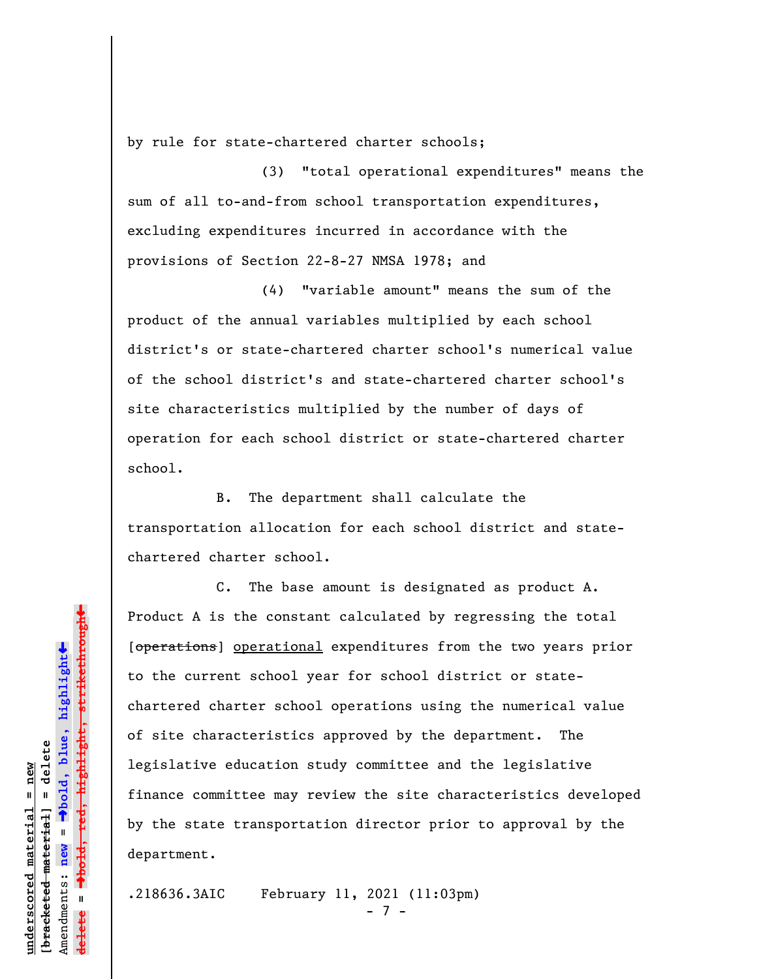by rule for state-chartered charter schools;

(3) "total operational expenditures" means the sum of all to-and-from school transportation expenditures, excluding expenditures incurred in accordance with the provisions of Section 22-8-27 NMSA 1978; and

(4) "variable amount" means the sum of the product of the annual variables multiplied by each school district's or state-chartered charter school's numerical value of the school district's and state-chartered charter school's site characteristics multiplied by the number of days of operation for each school district or state-chartered charter school.

B. The department shall calculate the transportation allocation for each school district and statechartered charter school.

C. The base amount is designated as product A. Product A is the constant calculated by regressing the total [operations] operational expenditures from the two years prior to the current school year for school district or statechartered charter school operations using the numerical value of site characteristics approved by the department. The legislative education study committee and the legislative finance committee may review the site characteristics developed by the state transportation director prior to approval by the department.

.218636.3AIC February 11, 2021 (11:03pm) - 7 -